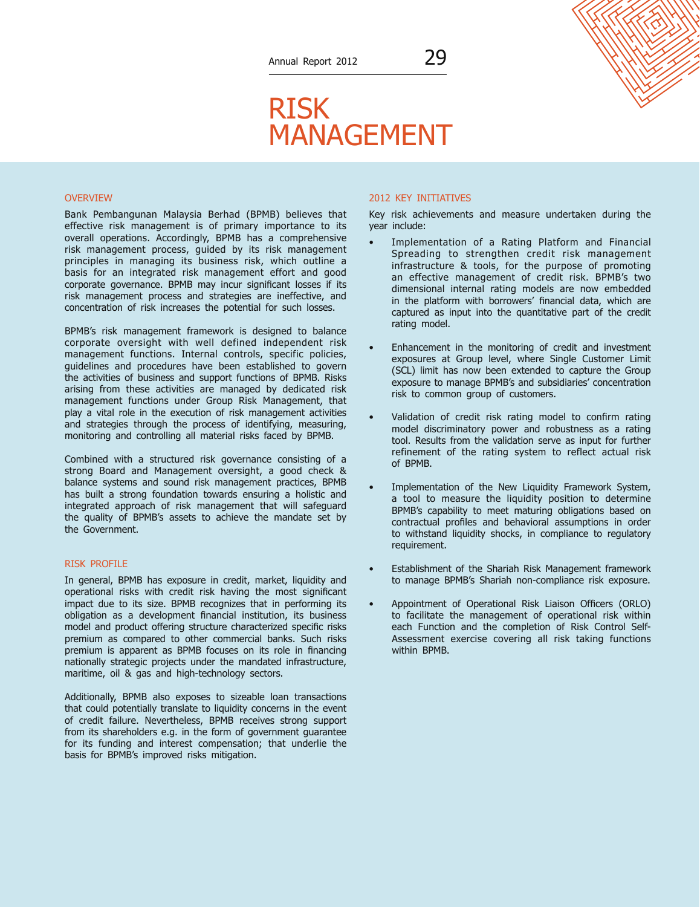# RISK MANAGEMENT

#### OVERVIEW

Bank Pembangunan Malaysia Berhad (BPMB) believes that effective risk management is of primary importance to its overall operations. Accordingly, BPMB has a comprehensive risk management process, guided by its risk management principles in managing its business risk, which outline a basis for an integrated risk management effort and good corporate governance. BPMB may incur significant losses if its risk management process and strategies are ineffective, and concentration of risk increases the potential for such losses.

BPMB's risk management framework is designed to balance corporate oversight with well defined independent risk management functions. Internal controls, specific policies, guidelines and procedures have been established to govern the activities of business and support functions of BPMB. Risks arising from these activities are managed by dedicated risk management functions under Group Risk Management, that play a vital role in the execution of risk management activities and strategies through the process of identifying, measuring, monitoring and controlling all material risks faced by BPMB.

Combined with a structured risk governance consisting of a strong Board and Management oversight, a good check & balance systems and sound risk management practices, BPMB has built a strong foundation towards ensuring a holistic and integrated approach of risk management that will safeguard the quality of BPMB's assets to achieve the mandate set by the Government.

## RISK PROFILE

In general, BPMB has exposure in credit, market, liquidity and operational risks with credit risk having the most significant impact due to its size. BPMB recognizes that in performing its obligation as a development financial institution, its business model and product offering structure characterized specific risks premium as compared to other commercial banks. Such risks premium is apparent as BPMB focuses on its role in financing nationally strategic projects under the mandated infrastructure, maritime, oil & gas and high-technology sectors.

Additionally, BPMB also exposes to sizeable loan transactions that could potentially translate to liquidity concerns in the event of credit failure. Nevertheless, BPMB receives strong support from its shareholders e.g. in the form of government guarantee for its funding and interest compensation; that underlie the basis for BPMB's improved risks mitigation.

# 2012 KEY INITIATIVES

Key risk achievements and measure undertaken during the year include:

- Implementation of a Rating Platform and Financial Spreading to strengthen credit risk management infrastructure & tools, for the purpose of promoting an effective management of credit risk. BPMB's two dimensional internal rating models are now embedded in the platform with borrowers' financial data, which are captured as input into the quantitative part of the credit rating model.
- Enhancement in the monitoring of credit and investment exposures at Group level, where Single Customer Limit (SCL) limit has now been extended to capture the Group exposure to manage BPMB's and subsidiaries' concentration risk to common group of customers.
- Validation of credit risk rating model to confirm rating model discriminatory power and robustness as a rating tool. Results from the validation serve as input for further refinement of the rating system to reflect actual risk of BPMB.
- Implementation of the New Liquidity Framework System, a tool to measure the liquidity position to determine BPMB's capability to meet maturing obligations based on contractual profiles and behavioral assumptions in order to withstand liquidity shocks, in compliance to regulatory requirement.
- Establishment of the Shariah Risk Management framework to manage BPMB's Shariah non-compliance risk exposure.
- Appointment of Operational Risk Liaison Officers (ORLO) to facilitate the management of operational risk within each Function and the completion of Risk Control Self-Assessment exercise covering all risk taking functions within BPMB.

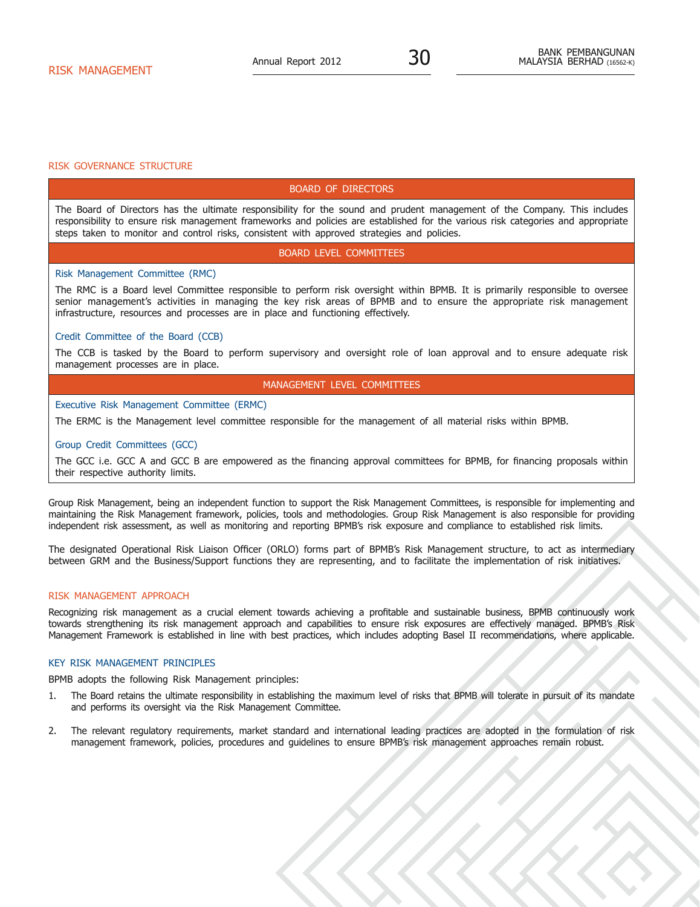#### RISK GOVERNANCE STRUCTURE

# Board of Directors

The Board of Directors has the ultimate responsibility for the sound and prudent management of the Company. This includes responsibility to ensure risk management frameworks and policies are established for the various risk categories and appropriate steps taken to monitor and control risks, consistent with approved strategies and policies.

#### Board Level Committees

#### Risk Management Committee (RMC)

The RMC is a Board level Committee responsible to perform risk oversight within BPMB. It is primarily responsible to oversee senior management's activities in managing the key risk areas of BPMB and to ensure the appropriate risk management infrastructure, resources and processes are in place and functioning effectively.

# Credit Committee of the Board (CCB)

The CCB is tasked by the Board to perform supervisory and oversight role of loan approval and to ensure adequate risk management processes are in place.

# Management Level Committees

# Executive Risk Management Committee (ERMC)

The ERMC is the Management level committee responsible for the management of all material risks within BPMB.

#### Group Credit Committees (GCC)

The GCC i.e. GCC A and GCC B are empowered as the financing approval committees for BPMB, for financing proposals within their respective authority limits.

Group Risk Management, being an independent function to support the Risk Management Committees, is responsible for implementing and maintaining the Risk Management framework, policies, tools and methodologies. Group Risk Management is also responsible for providing independent risk assessment, as well as monitoring and reporting BPMB's risk exposure and compliance to established risk limits.

The designated Operational Risk Liaison Officer (ORLO) forms part of BPMB's Risk Management structure, to act as intermediary between GRM and the Business/Support functions they are representing, and to facilitate the implementation of risk initiatives.

### RISK MANAGEMENT APPROACH

Recognizing risk management as a crucial element towards achieving a profitable and sustainable business, BPMB continuously work towards strengthening its risk management approach and capabilities to ensure risk exposures are effectively managed. BPMB's Risk Management Framework is established in line with best practices, which includes adopting Basel II recommendations, where applicable.

# Key Risk Management Principles

BPMB adopts the following Risk Management principles:

- 1. The Board retains the ultimate responsibility in establishing the maximum level of risks that BPMB will tolerate in pursuit of its mandate and performs its oversight via the Risk Management Committee.
- 2. The relevant regulatory requirements, market standard and international leading practices are adopted in the formulation of risk management framework, policies, procedures and guidelines to ensure BPMB's risk management approaches remain robust.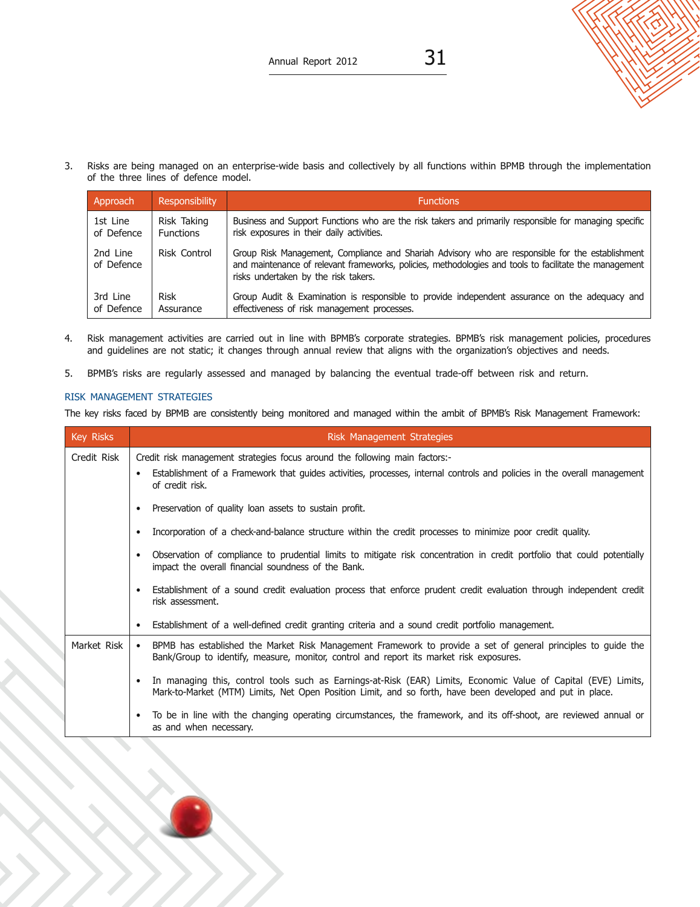

3. Risks are being managed on an enterprise-wide basis and collectively by all functions within BPMB through the implementation of the three lines of defence model.

| Approach               | Responsibility      | <b>Functions</b>                                                                                                                                                                                                                                   |
|------------------------|---------------------|----------------------------------------------------------------------------------------------------------------------------------------------------------------------------------------------------------------------------------------------------|
| 1st Line               | Risk Taking         | Business and Support Functions who are the risk takers and primarily responsible for managing specific                                                                                                                                             |
| of Defence             | <b>Functions</b>    | risk exposures in their daily activities.                                                                                                                                                                                                          |
| 2nd Line<br>of Defence | <b>Risk Control</b> | Group Risk Management, Compliance and Shariah Advisory who are responsible for the establishment<br>and maintenance of relevant frameworks, policies, methodologies and tools to facilitate the management<br>risks undertaken by the risk takers. |
| 3rd Line               | <b>Risk</b>         | Group Audit & Examination is responsible to provide independent assurance on the adequacy and                                                                                                                                                      |
| of Defence             | Assurance           | effectiveness of risk management processes.                                                                                                                                                                                                        |

- 4. Risk management activities are carried out in line with BPMB's corporate strategies. BPMB's risk management policies, procedures and guidelines are not static; it changes through annual review that aligns with the organization's objectives and needs.
- 5. BPMB's risks are regularly assessed and managed by balancing the eventual trade-off between risk and return.

# Risk Management Strategies

The key risks faced by BPMB are consistently being monitored and managed within the ambit of BPMB's Risk Management Framework:

| Key Risks   | Risk Management Strategies                                                                                                                                                                                                  |  |  |
|-------------|-----------------------------------------------------------------------------------------------------------------------------------------------------------------------------------------------------------------------------|--|--|
| Credit Risk | Credit risk management strategies focus around the following main factors:-<br>Establishment of a Framework that quides activities, processes, internal controls and policies in the overall management<br>of credit risk.  |  |  |
|             | Preservation of quality loan assets to sustain profit.<br>٠                                                                                                                                                                 |  |  |
|             | Incorporation of a check-and-balance structure within the credit processes to minimize poor credit quality.                                                                                                                 |  |  |
|             | Observation of compliance to prudential limits to mitigate risk concentration in credit portfolio that could potentially<br>impact the overall financial soundness of the Bank.                                             |  |  |
|             | Establishment of a sound credit evaluation process that enforce prudent credit evaluation through independent credit<br>risk assessment.                                                                                    |  |  |
|             | Establishment of a well-defined credit granting criteria and a sound credit portfolio management.<br>$\bullet$                                                                                                              |  |  |
| Market Risk | BPMB has established the Market Risk Management Framework to provide a set of general principles to guide the<br>$\bullet$<br>Bank/Group to identify, measure, monitor, control and report its market risk exposures.       |  |  |
|             | In managing this, control tools such as Earnings-at-Risk (EAR) Limits, Economic Value of Capital (EVE) Limits,<br>Mark-to-Market (MTM) Limits, Net Open Position Limit, and so forth, have been developed and put in place. |  |  |
|             | To be in line with the changing operating circumstances, the framework, and its off-shoot, are reviewed annual or<br>as and when necessary.                                                                                 |  |  |

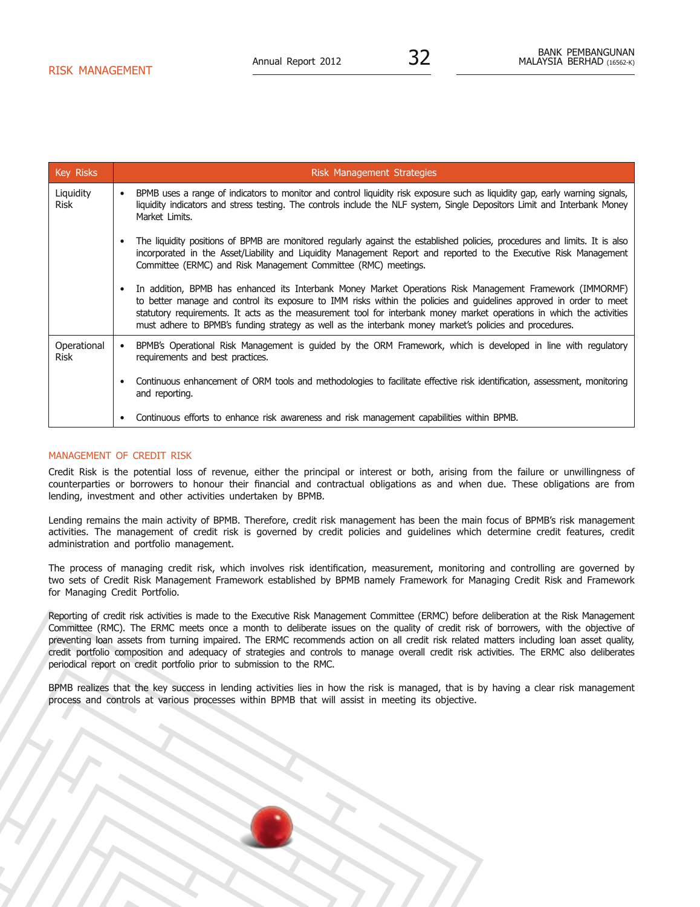| <b>Key Risks</b>         | <b>Risk Management Strategies</b>                                                                                                                                                                                                                                                                                                                                                                                                                                                |
|--------------------------|----------------------------------------------------------------------------------------------------------------------------------------------------------------------------------------------------------------------------------------------------------------------------------------------------------------------------------------------------------------------------------------------------------------------------------------------------------------------------------|
| Liquidity<br><b>Risk</b> | BPMB uses a range of indicators to monitor and control liquidity risk exposure such as liquidity gap, early warning signals,<br>$\bullet$<br>liquidity indicators and stress testing. The controls include the NLF system, Single Depositors Limit and Interbank Money<br>Market Limits.                                                                                                                                                                                         |
|                          | The liquidity positions of BPMB are monitored regularly against the established policies, procedures and limits. It is also<br>$\bullet$<br>incorporated in the Asset/Liability and Liquidity Management Report and reported to the Executive Risk Management<br>Committee (ERMC) and Risk Management Committee (RMC) meetings.                                                                                                                                                  |
|                          | In addition, BPMB has enhanced its Interbank Money Market Operations Risk Management Framework (IMMORMF)<br>$\bullet$<br>to better manage and control its exposure to IMM risks within the policies and quidelines approved in order to meet<br>statutory requirements. It acts as the measurement tool for interbank money market operations in which the activities<br>must adhere to BPMB's funding strategy as well as the interbank money market's policies and procedures. |
| Operational<br>Risk      | BPMB's Operational Risk Management is quided by the ORM Framework, which is developed in line with regulatory<br>$\bullet$<br>requirements and best practices.                                                                                                                                                                                                                                                                                                                   |
|                          | Continuous enhancement of ORM tools and methodologies to facilitate effective risk identification, assessment, monitoring<br>$\bullet$<br>and reporting.                                                                                                                                                                                                                                                                                                                         |
|                          | Continuous efforts to enhance risk awareness and risk management capabilities within BPMB.<br>$\bullet$                                                                                                                                                                                                                                                                                                                                                                          |

# MANAGEMENT OF CREDIT RISK

Credit Risk is the potential loss of revenue, either the principal or interest or both, arising from the failure or unwillingness of counterparties or borrowers to honour their financial and contractual obligations as and when due. These obligations are from lending, investment and other activities undertaken by BPMB.

Lending remains the main activity of BPMB. Therefore, credit risk management has been the main focus of BPMB's risk management activities. The management of credit risk is governed by credit policies and guidelines which determine credit features, credit administration and portfolio management.

The process of managing credit risk, which involves risk identification, measurement, monitoring and controlling are governed by two sets of Credit Risk Management Framework established by BPMB namely Framework for Managing Credit Risk and Framework for Managing Credit Portfolio.

Reporting of credit risk activities is made to the Executive Risk Management Committee (ERMC) before deliberation at the Risk Management Committee (RMC). The ERMC meets once a month to deliberate issues on the quality of credit risk of borrowers, with the objective of preventing loan assets from turning impaired. The ERMC recommends action on all credit risk related matters including loan asset quality, credit portfolio composition and adequacy of strategies and controls to manage overall credit risk activities. The ERMC also deliberates periodical report on credit portfolio prior to submission to the RMC.

BPMB realizes that the key success in lending activities lies in how the risk is managed, that is by having a clear risk management process and controls at various processes within BPMB that will assist in meeting its objective.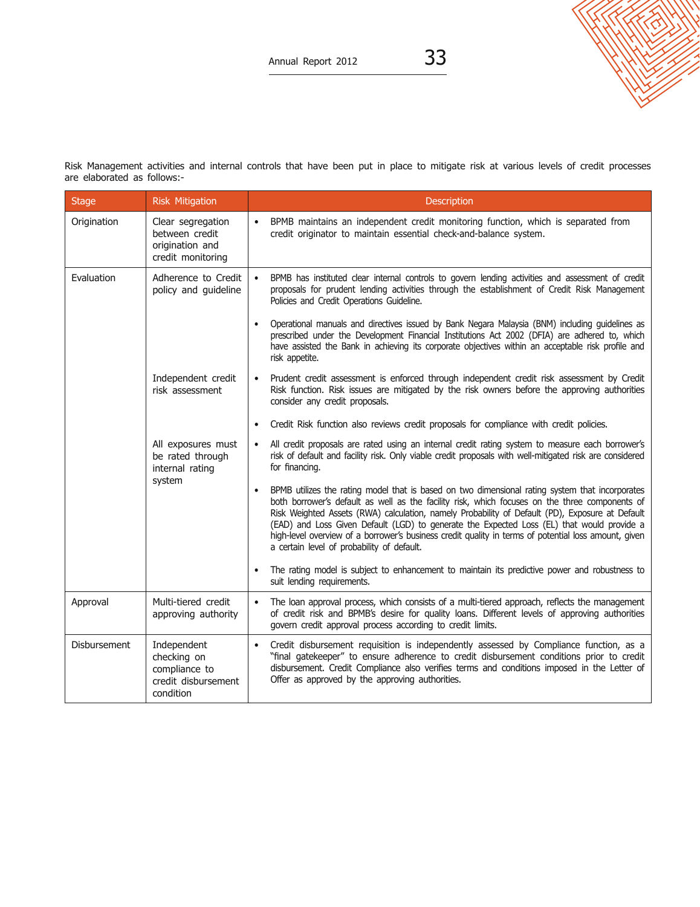

Risk Management activities and internal controls that have been put in place to mitigate risk at various levels of credit processes are elaborated as follows:-

| <b>Stage</b> | <b>Risk Mitigation</b>                                                          | Description                                                                                                                                                                                                                                                                                                                                                                                                                                                                                                                                                           |
|--------------|---------------------------------------------------------------------------------|-----------------------------------------------------------------------------------------------------------------------------------------------------------------------------------------------------------------------------------------------------------------------------------------------------------------------------------------------------------------------------------------------------------------------------------------------------------------------------------------------------------------------------------------------------------------------|
| Origination  | Clear segregation<br>between credit<br>origination and<br>credit monitoring     | BPMB maintains an independent credit monitoring function, which is separated from<br>$\bullet$<br>credit originator to maintain essential check-and-balance system.                                                                                                                                                                                                                                                                                                                                                                                                   |
| Evaluation   | Adherence to Credit<br>policy and guideline                                     | BPMB has instituted clear internal controls to govern lending activities and assessment of credit<br>$\bullet$<br>proposals for prudent lending activities through the establishment of Credit Risk Management<br>Policies and Credit Operations Guideline.                                                                                                                                                                                                                                                                                                           |
|              |                                                                                 | Operational manuals and directives issued by Bank Negara Malaysia (BNM) including guidelines as<br>$\bullet$<br>prescribed under the Development Financial Institutions Act 2002 (DFIA) are adhered to, which<br>have assisted the Bank in achieving its corporate objectives within an acceptable risk profile and<br>risk appetite.                                                                                                                                                                                                                                 |
|              | Independent credit<br>risk assessment                                           | Prudent credit assessment is enforced through independent credit risk assessment by Credit<br>$\bullet$<br>Risk function. Risk issues are mitigated by the risk owners before the approving authorities<br>consider any credit proposals.                                                                                                                                                                                                                                                                                                                             |
|              |                                                                                 | Credit Risk function also reviews credit proposals for compliance with credit policies.<br>$\bullet$                                                                                                                                                                                                                                                                                                                                                                                                                                                                  |
|              | All exposures must<br>be rated through<br>internal rating                       | All credit proposals are rated using an internal credit rating system to measure each borrower's<br>$\bullet$<br>risk of default and facility risk. Only viable credit proposals with well-mitigated risk are considered<br>for financing.                                                                                                                                                                                                                                                                                                                            |
|              | system                                                                          | BPMB utilizes the rating model that is based on two dimensional rating system that incorporates<br>$\bullet$<br>both borrower's default as well as the facility risk, which focuses on the three components of<br>Risk Weighted Assets (RWA) calculation, namely Probability of Default (PD), Exposure at Default<br>(EAD) and Loss Given Default (LGD) to generate the Expected Loss (EL) that would provide a<br>high-level overview of a borrower's business credit quality in terms of potential loss amount, given<br>a certain level of probability of default. |
|              |                                                                                 | The rating model is subject to enhancement to maintain its predictive power and robustness to<br>$\bullet$<br>suit lending requirements.                                                                                                                                                                                                                                                                                                                                                                                                                              |
| Approval     | Multi-tiered credit<br>approving authority                                      | The loan approval process, which consists of a multi-tiered approach, reflects the management<br>$\bullet$<br>of credit risk and BPMB's desire for quality loans. Different levels of approving authorities<br>govern credit approval process according to credit limits.                                                                                                                                                                                                                                                                                             |
| Disbursement | Independent<br>checking on<br>compliance to<br>credit disbursement<br>condition | Credit disbursement requisition is independently assessed by Compliance function, as a<br>$\bullet$<br>"final gatekeeper" to ensure adherence to credit disbursement conditions prior to credit<br>disbursement. Credit Compliance also verifies terms and conditions imposed in the Letter of<br>Offer as approved by the approving authorities.                                                                                                                                                                                                                     |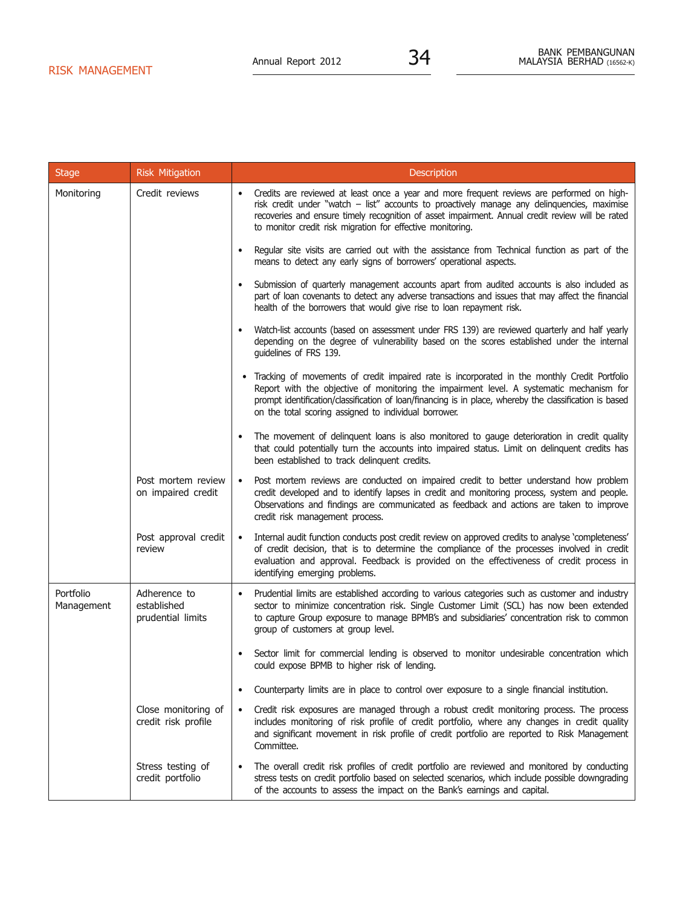| <b>Stage</b>            | <b>Risk Mitigation</b>                           | <b>Description</b>                                                                                                                                                                                                                                                                                                                                              |
|-------------------------|--------------------------------------------------|-----------------------------------------------------------------------------------------------------------------------------------------------------------------------------------------------------------------------------------------------------------------------------------------------------------------------------------------------------------------|
| Monitoring              | Credit reviews                                   | Credits are reviewed at least once a year and more frequent reviews are performed on high-<br>risk credit under "watch - list" accounts to proactively manage any delinquencies, maximise<br>recoveries and ensure timely recognition of asset impairment. Annual credit review will be rated<br>to monitor credit risk migration for effective monitoring.     |
|                         |                                                  | Regular site visits are carried out with the assistance from Technical function as part of the<br>$\bullet$<br>means to detect any early signs of borrowers' operational aspects.                                                                                                                                                                               |
|                         |                                                  | Submission of quarterly management accounts apart from audited accounts is also included as<br>$\bullet$<br>part of loan covenants to detect any adverse transactions and issues that may affect the financial<br>health of the borrowers that would give rise to loan repayment risk.                                                                          |
|                         |                                                  | Watch-list accounts (based on assessment under FRS 139) are reviewed quarterly and half yearly<br>$\bullet$<br>depending on the degree of vulnerability based on the scores established under the internal<br>guidelines of FRS 139.                                                                                                                            |
|                         |                                                  | • Tracking of movements of credit impaired rate is incorporated in the monthly Credit Portfolio<br>Report with the objective of monitoring the impairment level. A systematic mechanism for<br>prompt identification/classification of loan/financing is in place, whereby the classification is based<br>on the total scoring assigned to individual borrower. |
|                         |                                                  | The movement of delinquent loans is also monitored to gauge deterioration in credit quality<br>$\bullet$<br>that could potentially turn the accounts into impaired status. Limit on delinquent credits has<br>been established to track delinquent credits.                                                                                                     |
|                         | Post mortem review<br>on impaired credit         | Post mortem reviews are conducted on impaired credit to better understand how problem<br>$\bullet$<br>credit developed and to identify lapses in credit and monitoring process, system and people.<br>Observations and findings are communicated as feedback and actions are taken to improve<br>credit risk management process.                                |
|                         | Post approval credit<br>review                   | Internal audit function conducts post credit review on approved credits to analyse 'completeness'<br>$\bullet$<br>of credit decision, that is to determine the compliance of the processes involved in credit<br>evaluation and approval. Feedback is provided on the effectiveness of credit process in<br>identifying emerging problems.                      |
| Portfolio<br>Management | Adherence to<br>established<br>prudential limits | Prudential limits are established according to various categories such as customer and industry<br>$\bullet$<br>sector to minimize concentration risk. Single Customer Limit (SCL) has now been extended<br>to capture Group exposure to manage BPMB's and subsidiaries' concentration risk to common<br>group of customers at group level.                     |
|                         |                                                  | Sector limit for commercial lending is observed to monitor undesirable concentration which<br>$\bullet$<br>could expose BPMB to higher risk of lending.                                                                                                                                                                                                         |
|                         |                                                  | Counterparty limits are in place to control over exposure to a single financial institution.<br>$\bullet$                                                                                                                                                                                                                                                       |
|                         | Close monitoring of<br>credit risk profile       | Credit risk exposures are managed through a robust credit monitoring process. The process<br>$\bullet$<br>includes monitoring of risk profile of credit portfolio, where any changes in credit quality<br>and significant movement in risk profile of credit portfolio are reported to Risk Management<br>Committee.                                            |
|                         | Stress testing of<br>credit portfolio            | The overall credit risk profiles of credit portfolio are reviewed and monitored by conducting<br>stress tests on credit portfolio based on selected scenarios, which include possible downgrading<br>of the accounts to assess the impact on the Bank's earnings and capital.                                                                                   |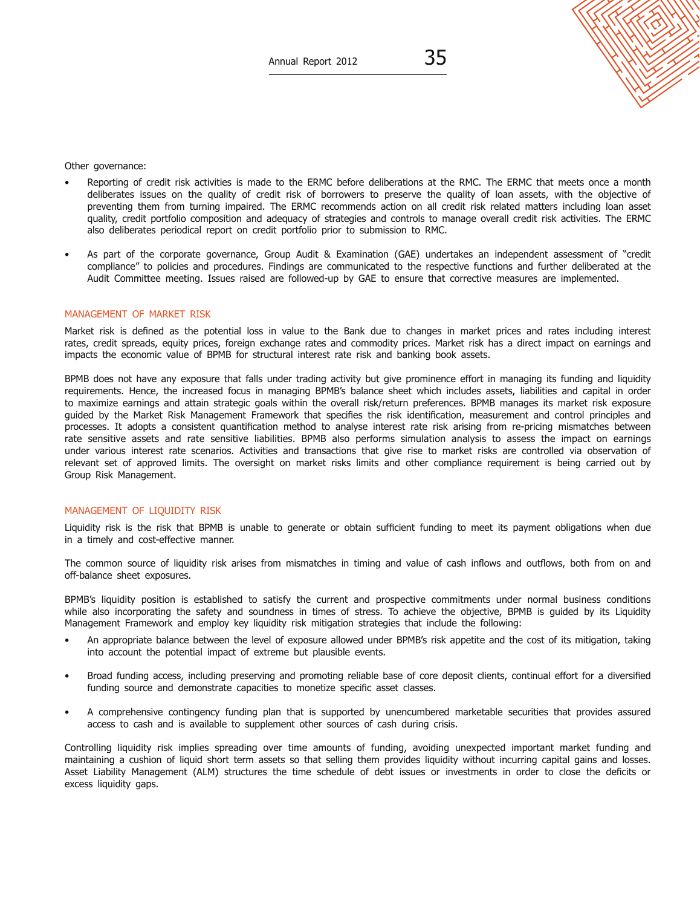Other governance:

- Reporting of credit risk activities is made to the ERMC before deliberations at the RMC. The ERMC that meets once a month deliberates issues on the quality of credit risk of borrowers to preserve the quality of loan assets, with the objective of preventing them from turning impaired. The ERMC recommends action on all credit risk related matters including loan asset quality, credit portfolio composition and adequacy of strategies and controls to manage overall credit risk activities. The ERMC also deliberates periodical report on credit portfolio prior to submission to RMC.
- As part of the corporate governance, Group Audit & Examination (GAE) undertakes an independent assessment of "credit compliance" to policies and procedures. Findings are communicated to the respective functions and further deliberated at the Audit Committee meeting. Issues raised are followed-up by GAE to ensure that corrective measures are implemented.

#### MANAGEMENT OF MARKET RISK

Market risk is defined as the potential loss in value to the Bank due to changes in market prices and rates including interest rates, credit spreads, equity prices, foreign exchange rates and commodity prices. Market risk has a direct impact on earnings and impacts the economic value of BPMB for structural interest rate risk and banking book assets.

BPMB does not have any exposure that falls under trading activity but give prominence effort in managing its funding and liquidity requirements. Hence, the increased focus in managing BPMB's balance sheet which includes assets, liabilities and capital in order to maximize earnings and attain strategic goals within the overall risk/return preferences. BPMB manages its market risk exposure guided by the Market Risk Management Framework that specifies the risk identification, measurement and control principles and processes. It adopts a consistent quantification method to analyse interest rate risk arising from re-pricing mismatches between rate sensitive assets and rate sensitive liabilities. BPMB also performs simulation analysis to assess the impact on earnings under various interest rate scenarios. Activities and transactions that give rise to market risks are controlled via observation of relevant set of approved limits. The oversight on market risks limits and other compliance requirement is being carried out by Group Risk Management.

#### MANAGEMENT OF LIQUIDITY RISK

Liquidity risk is the risk that BPMB is unable to generate or obtain sufficient funding to meet its payment obligations when due in a timely and cost-effective manner.

The common source of liquidity risk arises from mismatches in timing and value of cash inflows and outflows, both from on and off-balance sheet exposures.

BPMB's liquidity position is established to satisfy the current and prospective commitments under normal business conditions while also incorporating the safety and soundness in times of stress. To achieve the objective, BPMB is guided by its Liquidity Management Framework and employ key liquidity risk mitigation strategies that include the following:

- An appropriate balance between the level of exposure allowed under BPMB's risk appetite and the cost of its mitigation, taking into account the potential impact of extreme but plausible events.
- Broad funding access, including preserving and promoting reliable base of core deposit clients, continual effort for a diversified funding source and demonstrate capacities to monetize specific asset classes.
- A comprehensive contingency funding plan that is supported by unencumbered marketable securities that provides assured access to cash and is available to supplement other sources of cash during crisis.

Controlling liquidity risk implies spreading over time amounts of funding, avoiding unexpected important market funding and maintaining a cushion of liquid short term assets so that selling them provides liquidity without incurring capital gains and losses. Asset Liability Management (ALM) structures the time schedule of debt issues or investments in order to close the deficits or excess liquidity gaps.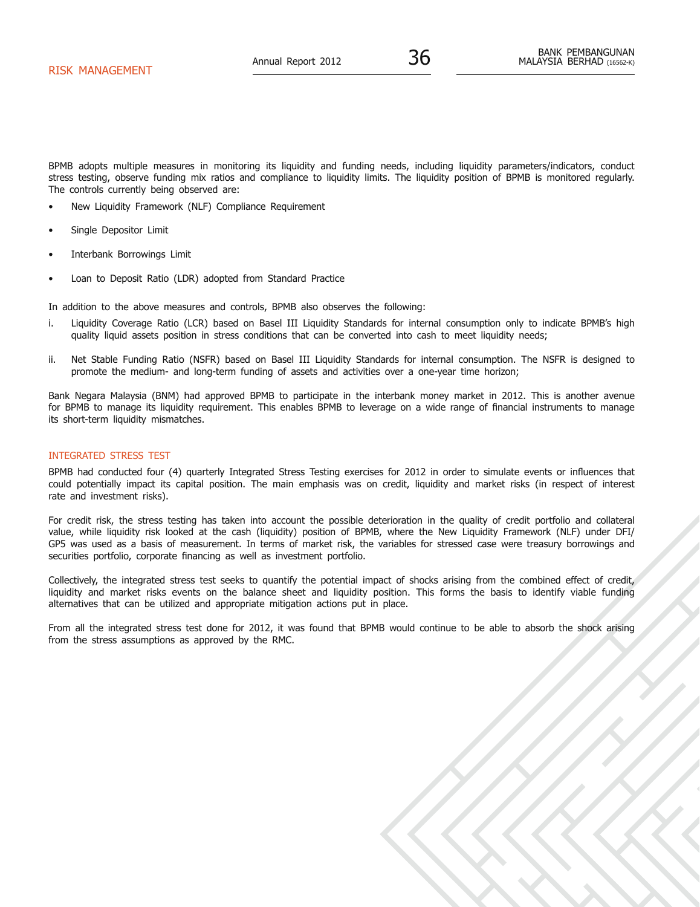BPMB adopts multiple measures in monitoring its liquidity and funding needs, including liquidity parameters/indicators, conduct stress testing, observe funding mix ratios and compliance to liquidity limits. The liquidity position of BPMB is monitored regularly. The controls currently being observed are:

- New Liquidity Framework (NLF) Compliance Requirement
- Single Depositor Limit
- Interbank Borrowings Limit
- Loan to Deposit Ratio (LDR) adopted from Standard Practice

In addition to the above measures and controls, BPMB also observes the following:

- i. Liquidity Coverage Ratio (LCR) based on Basel III Liquidity Standards for internal consumption only to indicate BPMB's high quality liquid assets position in stress conditions that can be converted into cash to meet liquidity needs;
- ii. Net Stable Funding Ratio (NSFR) based on Basel III Liquidity Standards for internal consumption. The NSFR is designed to promote the medium- and long-term funding of assets and activities over a one-year time horizon;

Bank Negara Malaysia (BNM) had approved BPMB to participate in the interbank money market in 2012. This is another avenue for BPMB to manage its liquidity requirement. This enables BPMB to leverage on a wide range of financial instruments to manage its short-term liquidity mismatches.

# INTEGRATED STRESS TEST

BPMB had conducted four (4) quarterly Integrated Stress Testing exercises for 2012 in order to simulate events or influences that could potentially impact its capital position. The main emphasis was on credit, liquidity and market risks (in respect of interest rate and investment risks).

For credit risk, the stress testing has taken into account the possible deterioration in the quality of credit portfolio and collateral value, while liquidity risk looked at the cash (liquidity) position of BPMB, where the New Liquidity Framework (NLF) under DFI/ GP5 was used as a basis of measurement. In terms of market risk, the variables for stressed case were treasury borrowings and securities portfolio, corporate financing as well as investment portfolio.

Collectively, the integrated stress test seeks to quantify the potential impact of shocks arising from the combined effect of credit, liquidity and market risks events on the balance sheet and liquidity position. This forms the basis to identify viable funding alternatives that can be utilized and appropriate mitigation actions put in place.

From all the integrated stress test done for 2012, it was found that BPMB would continue to be able to absorb the shock arising from the stress assumptions as approved by the RMC.